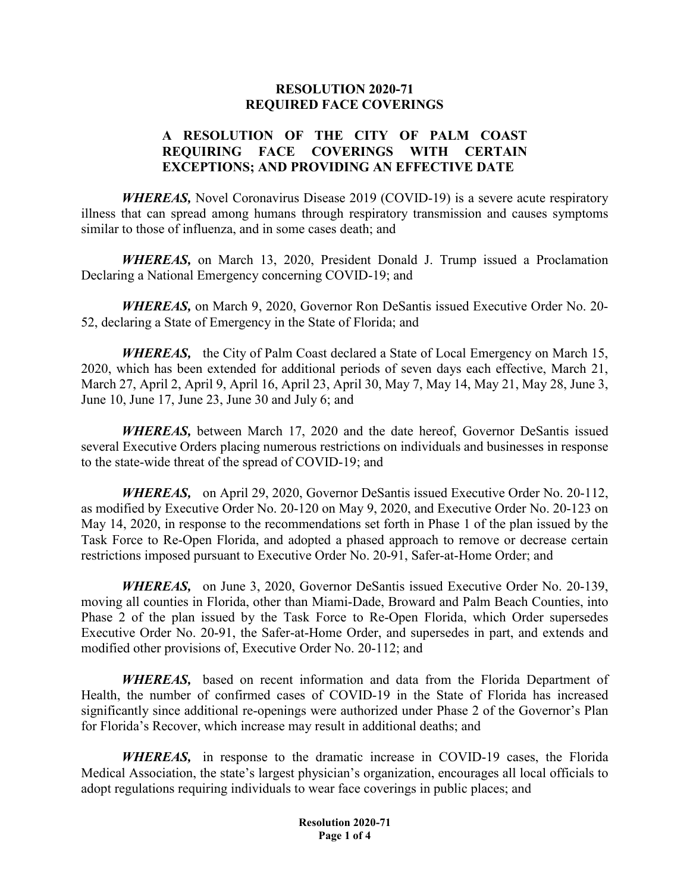#### **RESOLUTION 2020-71 REQUIRED FACE COVERINGS**

## **A RESOLUTION OF THE CITY OF PALM COAST REQUIRING FACE COVERINGS WITH CERTAIN EXCEPTIONS; AND PROVIDING AN EFFECTIVE DATE**

*WHEREAS,* Novel Coronavirus Disease 2019 (COVID-19) is a severe acute respiratory illness that can spread among humans through respiratory transmission and causes symptoms similar to those of influenza, and in some cases death; and

*WHEREAS,* on March 13, 2020, President Donald J. Trump issued a Proclamation Declaring a National Emergency concerning COVID-19; and

*WHEREAS,* on March 9, 2020, Governor Ron DeSantis issued Executive Order No. 20- 52, declaring a State of Emergency in the State of Florida; and

*WHEREAS,* the City of Palm Coast declared a State of Local Emergency on March 15, 2020, which has been extended for additional periods of seven days each effective, March 21, March 27, April 2, April 9, April 16, April 23, April 30, May 7, May 14, May 21, May 28, June 3, June 10, June 17, June 23, June 30 and July 6; and

*WHEREAS,* between March 17, 2020 and the date hereof, Governor DeSantis issued several Executive Orders placing numerous restrictions on individuals and businesses in response to the state-wide threat of the spread of COVID-19; and

*WHEREAS,* on April 29, 2020, Governor DeSantis issued Executive Order No. 20-112, as modified by Executive Order No. 20-120 on May 9, 2020, and Executive Order No. 20-123 on May 14, 2020, in response to the recommendations set forth in Phase 1 of the plan issued by the Task Force to Re-Open Florida, and adopted a phased approach to remove or decrease certain restrictions imposed pursuant to Executive Order No. 20-91, Safer-at-Home Order; and

*WHEREAS,* on June 3, 2020, Governor DeSantis issued Executive Order No. 20-139, moving all counties in Florida, other than Miami-Dade, Broward and Palm Beach Counties, into Phase 2 of the plan issued by the Task Force to Re-Open Florida, which Order supersedes Executive Order No. 20-91, the Safer-at-Home Order, and supersedes in part, and extends and modified other provisions of, Executive Order No. 20-112; and

*WHEREAS,* based on recent information and data from the Florida Department of Health, the number of confirmed cases of COVID-19 in the State of Florida has increased significantly since additional re-openings were authorized under Phase 2 of the Governor's Plan for Florida's Recover, which increase may result in additional deaths; and

*WHEREAS,* in response to the dramatic increase in COVID-19 cases, the Florida Medical Association, the state's largest physician's organization, encourages all local officials to adopt regulations requiring individuals to wear face coverings in public places; and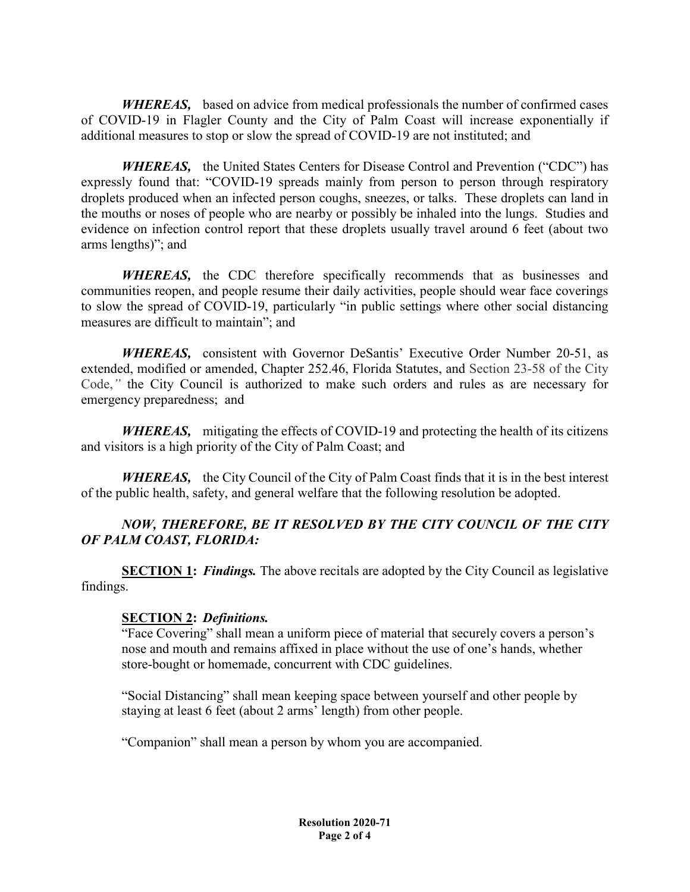*WHEREAS,* based on advice from medical professionals the number of confirmed cases of COVID-19 in Flagler County and the City of Palm Coast will increase exponentially if additional measures to stop or slow the spread of COVID-19 are not instituted; and

*WHEREAS,* the United States Centers for Disease Control and Prevention ("CDC") has expressly found that: "COVID-19 spreads mainly from person to person through respiratory droplets produced when an infected person coughs, sneezes, or talks. These droplets can land in the mouths or noses of people who are nearby or possibly be inhaled into the lungs. Studies and evidence on infection control report that these droplets usually travel around 6 feet (about two arms lengths)"; and

*WHEREAS,* the CDC therefore specifically recommends that as businesses and communities reopen, and people resume their daily activities, people should wear face coverings to slow the spread of COVID-19, particularly "in public settings where other social distancing measures are difficult to maintain"; and

*WHEREAS,* consistent with Governor DeSantis' Executive Order Number 20-51, as extended, modified or amended, Chapter 252.46, Florida Statutes, and Section 23-58 of the City Code,*"* the City Council is authorized to make such orders and rules as are necessary for emergency preparedness; and

*WHEREAS,* mitigating the effects of COVID-19 and protecting the health of its citizens and visitors is a high priority of the City of Palm Coast; and

*WHEREAS,* the City Council of the City of Palm Coast finds that it is in the best interest of the public health, safety, and general welfare that the following resolution be adopted.

# *NOW, THEREFORE, BE IT RESOLVED BY THE CITY COUNCIL OF THE CITY OF PALM COAST, FLORIDA:*

**SECTION 1:** *Findings.* The above recitals are adopted by the City Council as legislative findings.

### **SECTION 2:** *Definitions.*

"Face Covering" shall mean a uniform piece of material that securely covers a person's nose and mouth and remains affixed in place without the use of one's hands, whether store-bought or homemade, concurrent with CDC guidelines.

"Social Distancing" shall mean keeping space between yourself and other people by staying at least 6 feet (about 2 arms' length) from other people.

"Companion" shall mean a person by whom you are accompanied.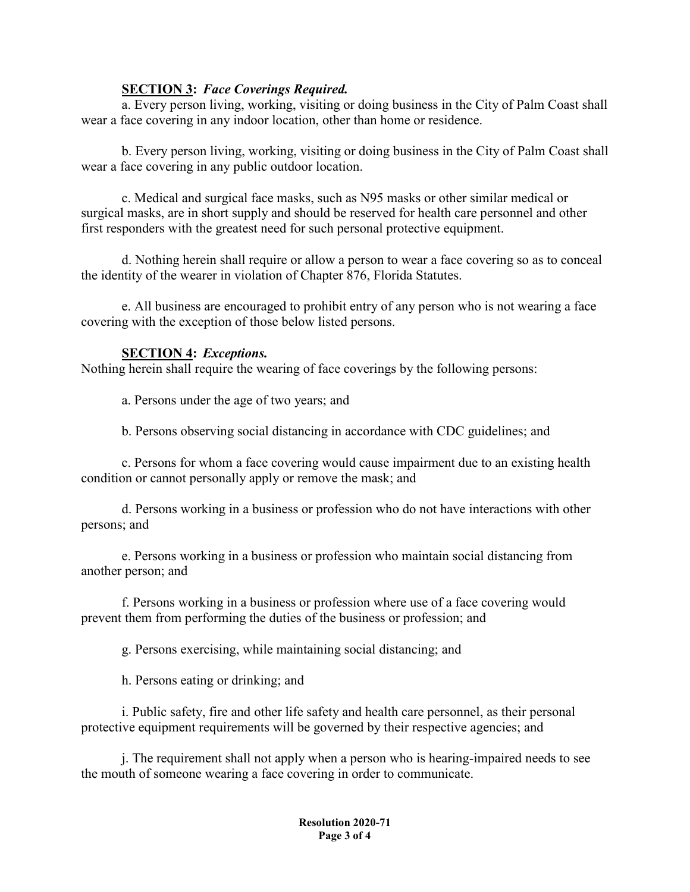#### **SECTION 3:** *Face Coverings Required.*

a. Every person living, working, visiting or doing business in the City of Palm Coast shall wear a face covering in any indoor location, other than home or residence.

b. Every person living, working, visiting or doing business in the City of Palm Coast shall wear a face covering in any public outdoor location.

c. Medical and surgical face masks, such as N95 masks or other similar medical or surgical masks, are in short supply and should be reserved for health care personnel and other first responders with the greatest need for such personal protective equipment.

d. Nothing herein shall require or allow a person to wear a face covering so as to conceal the identity of the wearer in violation of Chapter 876, Florida Statutes.

e. All business are encouraged to prohibit entry of any person who is not wearing a face covering with the exception of those below listed persons.

### **SECTION 4:** *Exceptions.*

Nothing herein shall require the wearing of face coverings by the following persons:

a. Persons under the age of two years; and

b. Persons observing social distancing in accordance with CDC guidelines; and

c. Persons for whom a face covering would cause impairment due to an existing health condition or cannot personally apply or remove the mask; and

d. Persons working in a business or profession who do not have interactions with other persons; and

e. Persons working in a business or profession who maintain social distancing from another person; and

f. Persons working in a business or profession where use of a face covering would prevent them from performing the duties of the business or profession; and

g. Persons exercising, while maintaining social distancing; and

h. Persons eating or drinking; and

i. Public safety, fire and other life safety and health care personnel, as their personal protective equipment requirements will be governed by their respective agencies; and

j. The requirement shall not apply when a person who is hearing-impaired needs to see the mouth of someone wearing a face covering in order to communicate.